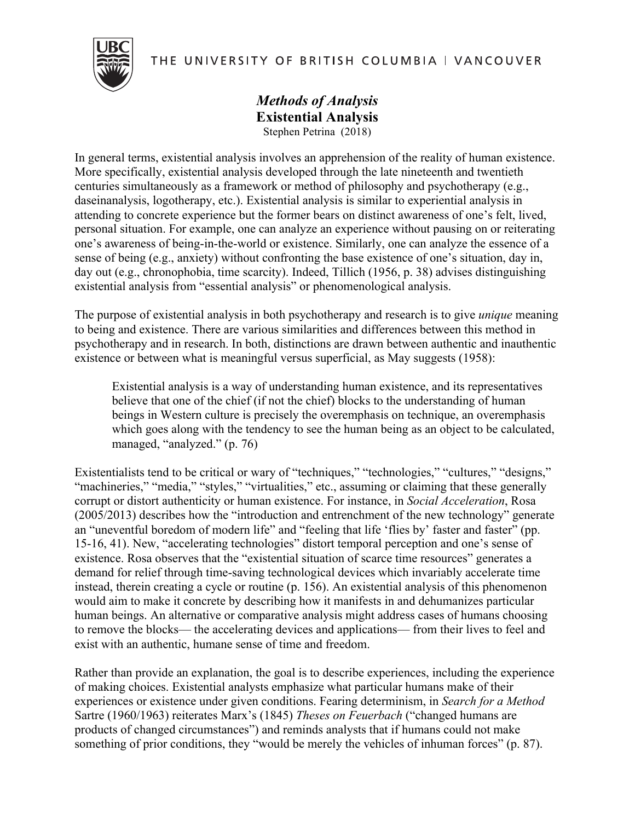THE UNIVERSITY OF BRITISH COLUMBIA | VANCOUVER



*Methods of Analysis* **Existential Analysis** Stephen Petrina (2018)

In general terms, existential analysis involves an apprehension of the reality of human existence. More specifically, existential analysis developed through the late nineteenth and twentieth centuries simultaneously as a framework or method of philosophy and psychotherapy (e.g., daseinanalysis, logotherapy, etc.). Existential analysis is similar to experiential analysis in attending to concrete experience but the former bears on distinct awareness of one's felt, lived, personal situation. For example, one can analyze an experience without pausing on or reiterating one's awareness of being-in-the-world or existence. Similarly, one can analyze the essence of a sense of being (e.g., anxiety) without confronting the base existence of one's situation, day in, day out (e.g., chronophobia, time scarcity). Indeed, Tillich (1956, p. 38) advises distinguishing existential analysis from "essential analysis" or phenomenological analysis.

The purpose of existential analysis in both psychotherapy and research is to give *unique* meaning to being and existence. There are various similarities and differences between this method in psychotherapy and in research. In both, distinctions are drawn between authentic and inauthentic existence or between what is meaningful versus superficial, as May suggests (1958):

Existential analysis is a way of understanding human existence, and its representatives believe that one of the chief (if not the chief) blocks to the understanding of human beings in Western culture is precisely the overemphasis on technique, an overemphasis which goes along with the tendency to see the human being as an object to be calculated, managed, "analyzed." (p. 76)

Existentialists tend to be critical or wary of "techniques," "technologies," "cultures," "designs," "machineries," "media," "styles," "virtualities," etc., assuming or claiming that these generally corrupt or distort authenticity or human existence. For instance, in *Social Acceleration*, Rosa (2005/2013) describes how the "introduction and entrenchment of the new technology" generate an "uneventful boredom of modern life" and "feeling that life 'flies by' faster and faster" (pp. 15-16, 41). New, "accelerating technologies" distort temporal perception and one's sense of existence. Rosa observes that the "existential situation of scarce time resources" generates a demand for relief through time-saving technological devices which invariably accelerate time instead, therein creating a cycle or routine (p. 156). An existential analysis of this phenomenon would aim to make it concrete by describing how it manifests in and dehumanizes particular human beings. An alternative or comparative analysis might address cases of humans choosing to remove the blocks— the accelerating devices and applications— from their lives to feel and exist with an authentic, humane sense of time and freedom.

Rather than provide an explanation, the goal is to describe experiences, including the experience of making choices. Existential analysts emphasize what particular humans make of their experiences or existence under given conditions. Fearing determinism, in *Search for a Method* Sartre (1960/1963) reiterates Marx's (1845) *Theses on Feuerbach* ("changed humans are products of changed circumstances") and reminds analysts that if humans could not make something of prior conditions, they "would be merely the vehicles of inhuman forces" (p. 87).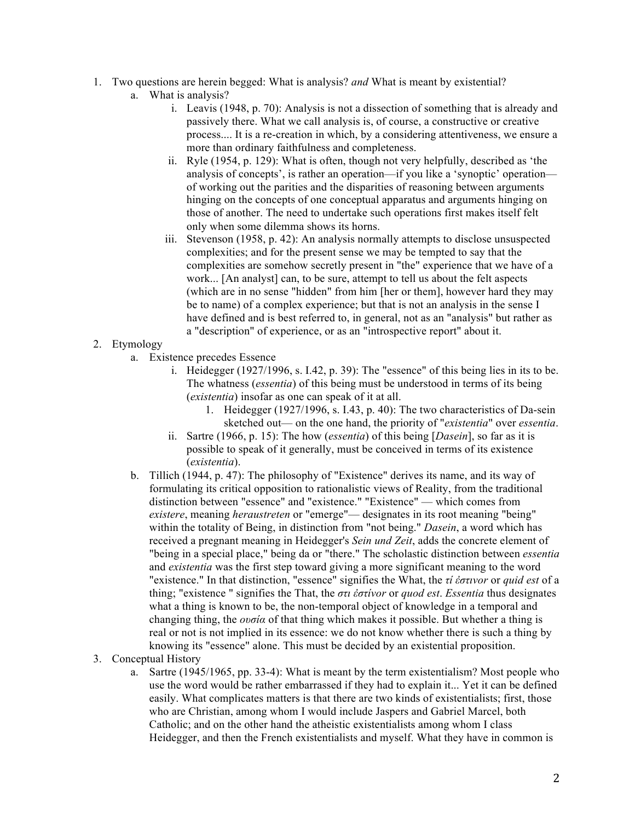- 1. Two questions are herein begged: What is analysis? *and* What is meant by existential?
	- a. What is analysis?
		- i. Leavis (1948, p. 70): Analysis is not a dissection of something that is already and passively there. What we call analysis is, of course, a constructive or creative process.... It is a re-creation in which, by a considering attentiveness, we ensure a more than ordinary faithfulness and completeness.
		- ii. Ryle (1954, p. 129): What is often, though not very helpfully, described as 'the analysis of concepts', is rather an operation—if you like a 'synoptic' operation of working out the parities and the disparities of reasoning between arguments hinging on the concepts of one conceptual apparatus and arguments hinging on those of another. The need to undertake such operations first makes itself felt only when some dilemma shows its horns.
		- iii. Stevenson (1958, p. 42): An analysis normally attempts to disclose unsuspected complexities; and for the present sense we may be tempted to say that the complexities are somehow secretly present in "the" experience that we have of a work... [An analyst] can, to be sure, attempt to tell us about the felt aspects (which are in no sense "hidden" from him [her or them], however hard they may be to name) of a complex experience; but that is not an analysis in the sense I have defined and is best referred to, in general, not as an "analysis" but rather as a "description" of experience, or as an "introspective report" about it.

## 2. Etymology

- a. Existence precedes Essence
	- i. Heidegger (1927/1996, s. I.42, p. 39): The "essence" of this being lies in its to be. The whatness (*essentia*) of this being must be understood in terms of its being (*existentia*) insofar as one can speak of it at all.
		- 1. Heidegger (1927/1996, s. I.43, p. 40): The two characteristics of Da-sein sketched out— on the one hand, the priority of "*existentia*" over *essentia*.
	- ii. Sartre (1966, p. 15): The how (*essentia*) of this being [*Dasein*], so far as it is possible to speak of it generally, must be conceived in terms of its existence (*existentia*).
- b. Tillich (1944, p. 47): The philosophy of "Existence" derives its name, and its way of formulating its critical opposition to rationalistic views of Reality, from the traditional distinction between "essence" and "existence." "Existence" — which comes from *existere*, meaning *heraustreten* or "emerge"— designates in its root meaning "being" within the totality of Being, in distinction from "not being." *Dasein*, a word which has received a pregnant meaning in Heidegger's *Sein und Zeit*, adds the concrete element of "being in a special place," being da or "there." The scholastic distinction between *essentia* and *existentia* was the first step toward giving a more significant meaning to the word "existence." In that distinction, "essence" signifies the What, the *τί ἐστινor* or *quid est* of a thing; "existence " signifies the That, the *στι ἐστίνor* or *quod est*. *Essentia* thus designates what a thing is known to be, the non-temporal object of knowledge in a temporal and changing thing, the *ουσία* of that thing which makes it possible. But whether a thing is real or not is not implied in its essence: we do not know whether there is such a thing by knowing its "essence" alone. This must be decided by an existential proposition.
- 3. Conceptual History
	- a. Sartre (1945/1965, pp. 33-4): What is meant by the term existentialism? Most people who use the word would be rather embarrassed if they had to explain it... Yet it can be defined easily. What complicates matters is that there are two kinds of existentialists; first, those who are Christian, among whom I would include Jaspers and Gabriel Marcel, both Catholic; and on the other hand the atheistic existentialists among whom I class Heidegger, and then the French existentialists and myself. What they have in common is